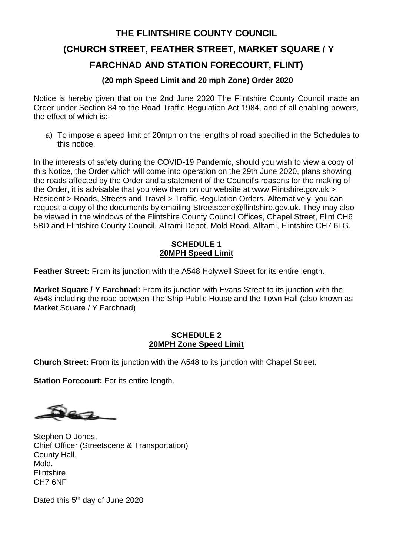## **THE FLINTSHIRE COUNTY COUNCIL (CHURCH STREET, FEATHER STREET, MARKET SQUARE / Y FARCHNAD AND STATION FORECOURT, FLINT)**

#### **(20 mph Speed Limit and 20 mph Zone) Order 2020**

Notice is hereby given that on the 2nd June 2020 The Flintshire County Council made an Order under Section 84 to the Road Traffic Regulation Act 1984, and of all enabling powers, the effect of which is:-

a) To impose a speed limit of 20mph on the lengths of road specified in the Schedules to this notice.

In the interests of safety during the COVID-19 Pandemic, should you wish to view a copy of this Notice, the Order which will come into operation on the 29th June 2020, plans showing the roads affected by the Order and a statement of the Council's reasons for the making of the Order, it is advisable that you view them on our website at <www.Flintshire.gov.uk> > Resident > Roads, Streets and Travel > Traffic Regulation Orders. Alternatively, you can request a copy of the documents by emailing Streetscene@flintshire.gov.uk. They may also be viewed in the windows of the Flintshire County Council Offices, Chapel Street, Flint CH6 5BD and Flintshire County Council, Alltami Depot, Mold Road, Alltami, Flintshire CH7 6LG.

#### **SCHEDULE 1 20MPH Speed Limit**

**Feather Street:** From its junction with the A548 Holywell Street for its entire length.

**Market Square / Y Farchnad:** From its junction with Evans Street to its junction with the A548 including the road between The Ship Public House and the Town Hall (also known as Market Square / Y Farchnad)

#### **SCHEDULE 2 20MPH Zone Speed Limit**

**Church Street:** From its junction with the A548 to its junction with Chapel Street.

**Station Forecourt:** For its entire length.

Stephen O Jones, Chief Officer (Streetscene & Transportation) County Hall, Mold, Flintshire. CH7 6NF

Dated this 5<sup>th</sup> day of June 2020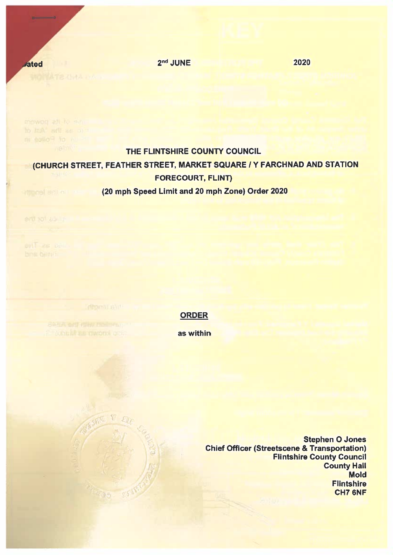2<sup>nd</sup> JUNE

**WO HATE OVIA UTA** 

**ated** 

#### THE FLINTSHIRE COUNTY COUNCIL

# CHURCH STREET, FEATHER STREET, MARKET SQUARE / Y FARCHNAD AND STATION **FORECOURT, FLINT)**

### (20 mph Speed Limit and 20 mph Zone) Order 2020

erd. tot. abilit

ent as pa

## **ORDER**

as within

**Stephen O Jones Chief Officer (Streetscene & Transportation) Flintshire County Council County Hall Mold Flintshire** CH7 6NF

2020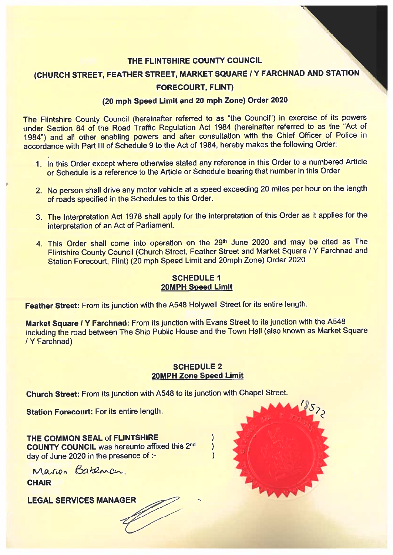#### THE FLINTSHIRE COUNTY COUNCIL

(CHURCH STREET, FEATHER STREET, MARKET SQUARE / Y FARCHNAD AND STATION

#### **FORECOURT, FLINT)**

#### (20 mph Speed Limit and 20 mph Zone) Order 2020

The Flintshire County Council (hereinafter referred to as "the Council") in exercise of its powers under Section 84 of the Road Traffic Regulation Act 1984 (hereinafter referred to as the "Act of 1984") and all other enabling powers and after consultation with the Chief Officer of Police in accordance with Part III of Schedule 9 to the Act of 1984, hereby makes the following Order:

- 1. In this Order except where otherwise stated any reference in this Order to a numbered Article or Schedule is a reference to the Article or Schedule bearing that number in this Order
- 2. No person shall drive any motor vehicle at a speed exceeding 20 miles per hour on the length of roads specified in the Schedules to this Order.
- 3. The Interpretation Act 1978 shall apply for the interpretation of this Order as it applies for the interpretation of an Act of Parliament.
- 4. This Order shall come into operation on the 29th June 2020 and may be cited as The Flintshire County Council (Church Street, Feather Street and Market Square / Y Farchnad and Station Forecourt, Flint) (20 mph Speed Limit and 20mph Zone) Order 2020

#### **SCHEDULE 1** 20MPH Speed Limit

Feather Street: From its junction with the A548 Holywell Street for its entire length.

Market Square / Y Farchnad: From its junction with Evans Street to its junction with the A548 including the road between The Ship Public House and the Town Hall (also known as Market Square / Y Farchnad)

#### **SCHEDULE 2 20MPH Zone Speed Limit**

 $\mathcal{E}$ 

Church Street: From its junction with A548 to its junction with Chapel Street.

Station Forecourt: For its entire length.

THE COMMON SEAL of FLINTSHIRE **COUNTY COUNCIL was hereunto affixed this 2nd** day of June 2020 in the presence of :-

Marion Bateman

**CHAIR** 

**LEGAL SERVICES MANAGER**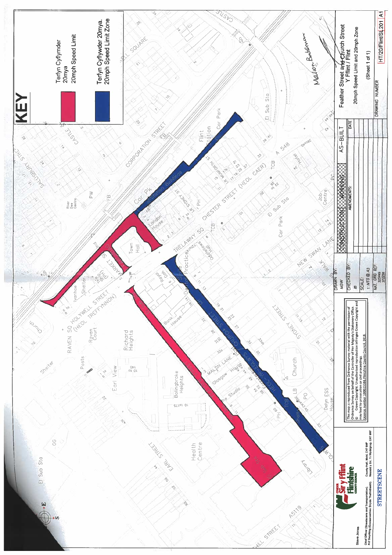